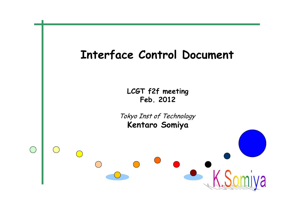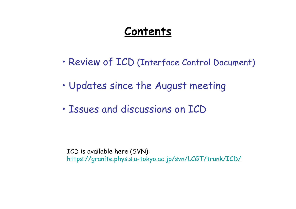### **Contents**

- •Review of ICD (Interface Control Document)
- •Updates since the August meeting
- •Issues and discussions on ICD

ICD is available here (SVN): <https://granite.phys.s.u-tokyo.ac.jp/svn/LCGT/trunk/ICD/>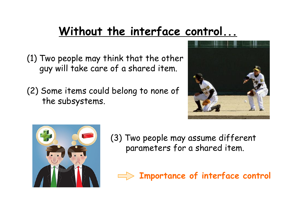# **Without the interface control...**

- (1) Two people may think that the other guy will take care of a shared item.
- (2) Some items could belong to none of the subsystems.





(3) Two people may assume different parameters for a shared item.

**Importance of interface control**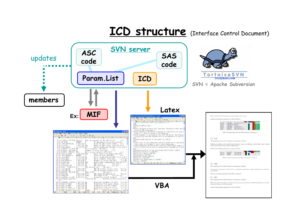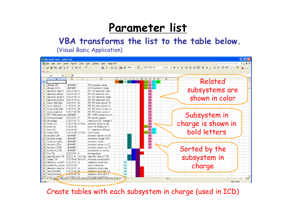### **Parameter list**

**VBA transforms the list to the table below.**

(Visual Basic Application)

| Microsoft Excel - iplist2.xls                                                                                           |                              |                                  |                                              |                        |                |             |                    |  |  |
|-------------------------------------------------------------------------------------------------------------------------|------------------------------|----------------------------------|----------------------------------------------|------------------------|----------------|-------------|--------------------|--|--|
| File Edit View Insert Format Tools Data Window<br>Type a question for help<br>Help<br>Adobe PDF<br>$   \theta$ $\times$ |                              |                                  |                                              |                        |                |             |                    |  |  |
| D G B H A B Q V & h B - < c - e - e - e + 2 μ A 100% - Ω . MSPJ>>>                                                      |                              |                                  |                                              |                        |                |             |                    |  |  |
|                                                                                                                         |                              |                                  |                                              |                        |                |             |                    |  |  |
| 为货,                                                                                                                     |                              |                                  |                                              |                        |                |             |                    |  |  |
|                                                                                                                         | A1                           | $f_x$                            |                                              |                        |                |             |                    |  |  |
|                                                                                                                         | $\mathbf{A}$                 | $\overline{R}$<br>$\Omega$       | $\Box$                                       |                        | GHIJKLMNOPQ    | R           |                    |  |  |
| $\mathbf{1}$                                                                                                            |                              |                                  |                                              |                        | VAM MCRIF      | DG EL IO LA | Related            |  |  |
| $\overline{2}$                                                                                                          | drange PD                    | #NAME?                           | PD dynamic range                             |                        | DG EL IO       |             |                    |  |  |
|                                                                                                                         | drange QPD                   | #NAME?                           | QPD dynamic range                            |                        | DG EL IO       |             | subsystems are     |  |  |
|                                                                                                                         | aperture rfpd hi             | 3.00 E-03 m                      | RF PD aperture (high                         |                        | EL.            |             |                    |  |  |
| 5                                                                                                                       | aperture_rfpd_lo             | 3.00.E-03 m                      | RF PD aperture (low                          |                        | EL.            |             |                    |  |  |
|                                                                                                                         | aperture dopd hi 3.00.E-03 m |                                  | DC PD aperture (high                         |                        | <b>EL</b>      |             | shown in color     |  |  |
| 7                                                                                                                       | aperture dopd lo             | 3.00 E-03 m                      | DC PD aperture (low                          |                        | EL.            |             |                    |  |  |
| 8                                                                                                                       | input rfpd high              | 3.00 E-01 W                      | RF PD input power (h)                        |                        | <b>EL</b>      |             |                    |  |  |
| $\mathbf{a}$                                                                                                            | input rfpd low               | 1.00 E-01 W                      | RF PD input power (I                         |                        | EL.            |             |                    |  |  |
| 10 <sup>1</sup>                                                                                                         | input dopd high              | 1.00.E-01 W                      | DC PD input power (h                         |                        | <b>EL</b>      |             |                    |  |  |
| 11                                                                                                                      | input dopd low               | 1.00 E-02 W                      | DC PD input power (I                         |                        | EL.            |             |                    |  |  |
| 12                                                                                                                      | RFHOMsuppressio #NAME?       |                                  | RF HOM suppression a                         |                        | EL.            |             | Subsystem in       |  |  |
| 13                                                                                                                      | Dopowersupply                | 2.40.E+01 V                      | DC power supply                              |                        | EL.            |             |                    |  |  |
| 14                                                                                                                      | dovoltage                    | 1.00.E-01 V                      | maximum DC voltage f                         |                        | EL.            |             | charge is shown in |  |  |
|                                                                                                                         | 15 noise PD                  | 1.00 E-09 V/rtHz                 | electric noise on de                         |                        | EL.            |             |                    |  |  |
| 16                                                                                                                      | error IQ                     | $1.00E - 02$                     | error of 90deg for I                         |                        | <b>DG EL</b>   |             |                    |  |  |
| 17                                                                                                                      | loss PD                      | $5.00.E - 02$                    | $1 -$ quantum efficien                       |                        |                | EL IO       |                    |  |  |
| 18                                                                                                                      | noise QPD                    | 1.00 E-09 V/rtHz                 | QPD noise                                    |                        | DG EL IO       |             | bold letters       |  |  |
|                                                                                                                         | 19 actuator IM               | #NAME?                           | actuator power on IM                         |                        | EL.            |             |                    |  |  |
| 20                                                                                                                      | actuate range                | #NAME?                           | actuation range (AC)                         |                        | EL.            |             |                    |  |  |
| 21                                                                                                                      | noise_actuator               | #NAME?                           | actuator noise                               |                        | EL.            |             |                    |  |  |
| 22                                                                                                                      | actuator ITM                 | #NAME?                           | actuator power on IT                         |                        | EL.            |             |                    |  |  |
|                                                                                                                         | 23 actuator ETM              | #NAME?                           | actuator power on ET                         |                        | EL.            |             | Sorted by the      |  |  |
| 24                                                                                                                      | emissivity TM                | #NAME?                           | emmisivity of surfac                         |                        |                |             |                    |  |  |
|                                                                                                                         | 25 Tm TM                     | 2.00 E+01 K                      | temperature                                  |                        |                |             |                    |  |  |
| 26                                                                                                                      |                              | specificheat_TM 6.90.E-01 J/K/kg | specific heat of TM                          |                        | $\overline{C}$ |             | subsystem in       |  |  |
| 27                                                                                                                      | kappa TM                     | 1.57.E+04 W/m/K                  | thermal conducutivit                         |                        | CF             |             |                    |  |  |
| 28                                                                                                                      | diameter_cryo8K 5.00.E-01 m  |                                  | radiation shield dia                         | <b>VA</b>              | 31             |             |                    |  |  |
| 29                                                                                                                      | emissivity vacuu 3.00.E-02   |                                  | duct emissivity                              | <b>VA</b>              | эŔ             |             | charge             |  |  |
| 30                                                                                                                      | diameter_apertur 2.50.E=01 m |                                  | radiation shield ape                         | <b>VA</b><br><b>VA</b> | <b>DRIF</b>    |             |                    |  |  |
| 31                                                                                                                      | heat fromBS                  | 1.00.E-02 W                      | radiation from BS ch<br>radiation from arm c | <b>VA</b>              | <b>CRIF</b>    |             |                    |  |  |
|                                                                                                                         | 32 heat_fromArm 1.00 E-02 W  |                                  |                                              | har                    | CRIF           |             |                    |  |  |
| 12 boot point ABL CRY OGS FOL TOO CLAS AME AME TON AVAC AVIS<br>$  \cdot    $<br>$  \cdot  $                            |                              |                                  |                                              |                        |                |             |                    |  |  |
| Ready                                                                                                                   |                              |                                  |                                              |                        |                |             | <b>NUM SCRL</b>    |  |  |

Create tables with each subsystem in charge (used in ICD)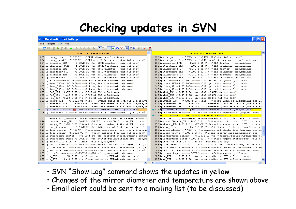## **Checking updates in SVN**

 $\sim$ 

#### ist.txt Revision 441 - TortoiseMerge

Edit Navigate View Help

#### 

#### iplist.txt Revision 440

| 256 ip.cmrr cutoff->="=TBD">%--->%CMR-cutoff-frequency---->tun,fcl,vis,vac $\in$                                                              | 256 ip.cmrr cutoff->="=TBD">%-->%CMR-cutoff-frequency--->tun,fcl,vis,vac $\in$                                                           |
|-----------------------------------------------------------------------------------------------------------------------------------------------|------------------------------------------------------------------------------------------------------------------------------------------|
| 257 ip.diameter SRM $\longmapsto$ =2.50.E-01 $\rightarrow$ *m $\rightarrow$ *SRM diamter $\rightarrow$ mir,mif,aos $\in$                      | 257 ip.diameter SRM $\longrightarrow$ =2.50.E-01 $\rightarrow$ \$m $\rightarrow$ \$SRM diamter $\longrightarrow$ mir, mif, aos $\in$     |
| 258 ip.thickness SRM- $\rightarrow$ =1.00.E-01 $\rightarrow$ *m $\rightarrow$ *SRM·thickness $\rightarrow$ mir,mif,aos $\in$                  | 258 ip.thickness SRM- $\longrightarrow$ =1.00.E-01->%m->%SRM-thickness->mir,mif,aos $\in$                                                |
| 259 ip.diameter SR2 $\longleftrightarrow$ =2.50.E-01 $\rightarrow$ *m $\rightarrow$ *SR2 diamter $\rightarrow$ mir, mif, aos $\leftarrow$     | 259 ip.diameter SR2 $\longrightarrow$ =2.50.E-01 $\rightarrow$ *m $\rightarrow$ *SR2 diamter $\longrightarrow$ mir,mif,aos $\leftarrow$  |
| 260 ip.thickness $SR2 \rightarrow = 1.00$ .E-01 $\rightarrow$ *m $\rightarrow$ *SR2 ·thickness $\rightarrow$ mir, mif, aos $\in$              | 260 ip.thickness SR2- $\longrightarrow$ =1.00.E-01->\\mmas\\s\samar\s\samas\mit,mif,aos\                                                 |
| 261 ip.diameter SR3 $\longrightarrow$ =2.50.E-01 $\rightarrow$ *m $\rightarrow$ *SR3 diameter $\rightarrow$ mir, mif, aos $\leftarrow$        | 261 ip.diameter SR3 $\longrightarrow$ =2.50.E-01 $\rightarrow$ \$m $\rightarrow$ \$SR3 diameter $\rightarrow$ mir, mif, aos $\leftarrow$ |
| 262 ip.thickness SR3-->=1.00.E-01->\\m->\SR3-thickness->mir,mif,aos $\leftrightarrow$                                                         | 262 ip.thickness SR3- $\rightarrow$ =1.00.E-01->\\ta>\\sam->\ta>\$SR3 -thickness->mir, mif, aos                                          |
| 263 ip.R SRM $\longrightarrow$ =9.00.E-01 $\rightarrow$ % $\rightarrow$ *SRM-reflectivity $\rightarrow$ mif, mir, aos $\leftarrow$            | 263 ip.R SRM $\longrightarrow$ =9.00.E-01 $\rightarrow$ % $\rightarrow$ *SRM-reflectivity $\rightarrow$ mif, mir, aos $\leftarrow$       |
| 264 ip.loss SRM $\rightarrow$ =1.00.E-04 $\rightarrow$ % $\rightarrow$ *SRM-optical·loss $\rightarrow$ mif, mir, aos $\leftarrow$             | 264 ip.loss SRM $\rightarrow$ =1.00.E-04 $\rightarrow$ % $\rightarrow$ *SRM-optical·loss $\rightarrow$ mif, mir, aos $\leftarrow$        |
| 265 ip.loss $SR2 \rightarrow = 1.00$ .E+04 $\rightarrow$ \$ $\rightarrow$ \$R2 -optical -loss $\rightarrow$ mif, mir, aos $\leftarrow$        | 265 ip.loss $SR2 \rightarrow = 1.00.E+04 \rightarrow \text{}$ \\$SR2 -optical -loss --- >mif, mir, aos(                                  |
| 266 ip. loss $SR3 \rightarrow = 1.00 \cdot E + 04 \rightarrow \text{}$ SR3 - optical - loss $\rightarrow$ mif, mir, aos $\in$                 | 266 ip.10ss SR3+=1.00.E+04-+3-++8R3 optical loss-+mif, mir, aosd                                                                         |
| 267 ip.RoC SRM $\rightarrow$ =3.70.E+02 $\rightarrow$ *m $\rightarrow$ *RoC·of·SRM $\rightarrow$ mif,mir,aos $\in$                            | 267 ip.RoC SRM $\rightarrow$ =3.70.E+02 $\rightarrow$ *m $\rightarrow$ *RoC·of·SRM $\rightarrow$ mif,mir,aos $\leftarrow$                |
| 268 ip.RoC SR2 $\rightarrow$ =4.17.E+00 $\rightarrow$ sm $\rightarrow$ sRoC·of·SR2 $\rightarrow$ mif,mir,aos $\leftarrow$                     | 268 ip.RoC SR2 $\rightarrow$ =4.17.E+00 $\rightarrow$ *m $\rightarrow$ *RoC·of·SR2 $\rightarrow$ mif,mir,aos $\in$                       |
| 269 ip.RoC SR3 $\rightarrow$ =3.23.E+01 $\rightarrow$ \$m $\rightarrow$ \$RoC·of·SR3 $\rightarrow$ mif,mir,aos $\leftarrow$                   | 269 ip.RoC SR3 $\rightarrow$ =3.23.E+01 $\rightarrow$ *m $\rightarrow$ *RoC·of·SR3 $\rightarrow$ mif,mir,aos $\leftarrow$                |
| 270 ip.wedge SRM->=3.00.E-01->%deg->%wedge-angle-of-SRM+mif,mir,ioo,va                                                                        | 270 ip.wedge SRM->=3.00.E-01->%deg->%wedge-angle-of-SRM+mif,mir,ioo,va                                                                   |
| 271 ip.actuator ITM - - - - "=TBD" + \; - - - \; actuator - power - on - ITM - > ael, mif, vis, ad                                            |                                                                                                                                          |
| 272 ip.actuator ETM - - - - "= TBD" + \; - - - \; actuator - power - on - ETM - ael, mif, vis, ad                                             | 272 ip.actuator ETM - - - - - "=TBD" + \; - - - \; actuator - power - on - ETM - ael, mif, vis, ao                                       |
| -273 ip.diamter TM $\rightarrow$ =2.50.E-01 $\rightarrow$ *m $\rightarrow$ *TM diameter $\rightarrow$ mir, cry, mif, aos                      | $-273$ ip.diamter TM $\rightarrow$ =2.20. E-01 $\rightarrow$ *m $\rightarrow$ *TM diameter $\rightarrow$ mir, cry, mif, aos              |
| 274 ip.thickness TM $\longrightarrow$ =1.50.E-01 $\rightarrow$ *m $\rightarrow$ *TM $\cdot$ thickness $\longrightarrow$ mir,cry,mif,aos $\in$ | 274 ip.thickness TM $\longrightarrow$ =1.50.E-01 $\rightarrow$ *m $\rightarrow$ *TM thickness $\rightarrow$ mir, cry, mif, aos $\in$     |
|                                                                                                                                               | $-275$ ip. Tm TM- $\rightarrow$ =2.00.E+01->%K->%temperature--->cry,mir,mif-                                                             |
| 275 ip.emissivity TM $\longrightarrow$ =8.00.E-02 $\rightarrow$ % $\longrightarrow$ *emmisivity of surface of TM $\longrightarrow$ cr         | 276 ip.emissivity TM- $\rightarrow$ =8.00.E-02->%-->%emmisivity-of-surface-of-TM---->cr                                                  |
| 276 ip.specificheat TM->=6.90.E-01->%J/K/kg+%specific-heat-of-TM-->cry,mi                                                                     | 277 ip.specificheat TM->=6.90.E-01->%J/K/kg+%specific-heat-of-TM---->cry,mi                                                              |
| 277 ip.kappa TM>=1.57.E+04->%W/m/K->%thermal-conducutivity-of-TM--->cry,mi                                                                    | 278 ip.kappa TM $\rightarrow$ =1.57.E+04 $\rightarrow$ %W/m/K $\rightarrow$ %thermal-conducutivity-of-TM $\rightarrow$ cry,mi            |
| 278 ip.ear distance $\longrightarrow$ =2.46.E-01 $\rightarrow$ *m $\rightarrow$ *distance of flat ear surfaces $\rightarrow$ mi               | 279 ip.ear distance $\longrightarrow$ =2.46.E-01 $\rightarrow$ *m $\rightarrow$ *distance of flat ear surfaces $\rightarrow$ mi          |
| 279 ip.loss sleeks->="=TBD">%-->%scratches-and-sleeks-loss->mir, mif, cry, ad                                                                 | 280 ip.loss sleeks->="=TBD">%-->%scratches-and-sleeks-loss->mir, mif, cry, ao                                                            |
| 280 ip.loss points->=1.00.E-05->%--->%point-defects-loss-mir,mif,cry,aos $\in$                                                                | 281 ip.loss points->=1.00.E-05->%--->%point-defects-loss-mir, mif, cry, aos $\in$                                                        |
| 281 ip.surfacerms center--->=3.00.E-10->\\m->\central-region-surface-rms>mi                                                                   | 282 ip.surfacerms center--->=3.00.E-10->%m->%central-region-surface-rms-mi-                                                              |
| 282 ip.surfacerms outer += 1.00.E-09 -> * m -> * outer - region - surface - rms - - > mir, mi                                                 | 283 ip.surfacerms outer += 1.00.E-09 -> * m -> * outer - region - surface - rms - - > mir, mi                                            |
| 283 ip.BRDF $\rightarrow$ =1.40.E-05 $\rightarrow$ \$ ---->\$BRDF---->mir, mif, aos, cry $\leftarrow$                                         | 284 ip.BRDF $\rightarrow$ =1.40.E-05 $\rightarrow$ \$ --->\$BRDF--->mir,mif,aos,cry $\leftarrow$                                         |
|                                                                                                                                               | 285 ip.surfacecenter--->=1.20.E-01->*m->*border-of-central-region--->mir,mi                                                              |
| 285 ip.flatness AR TM->="=TBD">%-->%AR-side-surface-flatness-->mir, mif, ad                                                                   | 286 ip.flatness AR TM->="=TBD">%--->%AR-side-surface-flatness--->mir, mif, ao                                                            |
| 286 ip.RoC TM fromAR- $\longrightarrow$ ="=TBD" $\rightarrow$ %--->%ROC seen from AR side-->mir, mif, aos $\leftarrow$                        | 287 ip.RoC TM fromAR- $\longrightarrow$ ="=TBD" $\rightarrow$ %--->%ROC seen from AR side-->mir, mif, aos $\leftarrow$                   |
|                                                                                                                                               |                                                                                                                                          |
| 288 ip.w ETM- $\rightarrow$ =4.53.E-02->\\mathbb{m}\} \beam-radius-on-ETM-mif, mir, ioo, aos $\leftarrow$                                     | 289 ip.w ETM- $\rightarrow$ =4.53.E-02- $\rightarrow$ *m->*beam·radius·on·ETM-mif,mir,ioo,aos $\leftarrow$                               |
| 289 ip.w ITM- $\rightarrow$ =3.43.E-02 $\rightarrow$ *m->*beam-radius-on-ITM-mif,mir,ioo,aos $\in$                                            | 290 ip.w ITM- $\rightarrow$ =3.43.E-02- $\rightarrow$ *m-*beam·radius·on·ITM-mif,mir,ioo,aos $\in$                                       |
|                                                                                                                                               |                                                                                                                                          |

- SVN "Show Log" command shows the updates in yellow
- Changes of the mirror diameter and temperature are shown above
- Email alert could be sent to a mailing list (to be discussed)

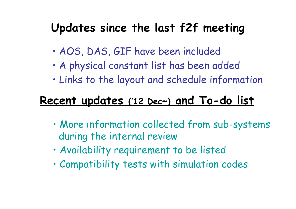## **Updates since the last f2f meeting**

- •AOS, DAS, GIF have been included
- •A physical constant list has been added
- •Links to the layout and schedule information

## **Recent updates ('12 Dec~) and To-do list**

- • More information collected from sub-systems during the internal review
- •Availability requirement to be listed
- •Compatibility tests with simulation codes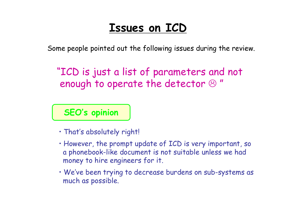### **Issues on ICD**

Some people pointed out the following issues during the review.

"ICD is just a list of parameters and not enough to operate the detector  $\mathfrak S$ "

### **SEO's opinion**

- That's absolutely right!
- However, the prompt update of ICD is very important, so a phonebook-like document is not suitable unless we had money to hire engineers for it.
- We've been trying to decrease burdens on sub-systems as much as possible.